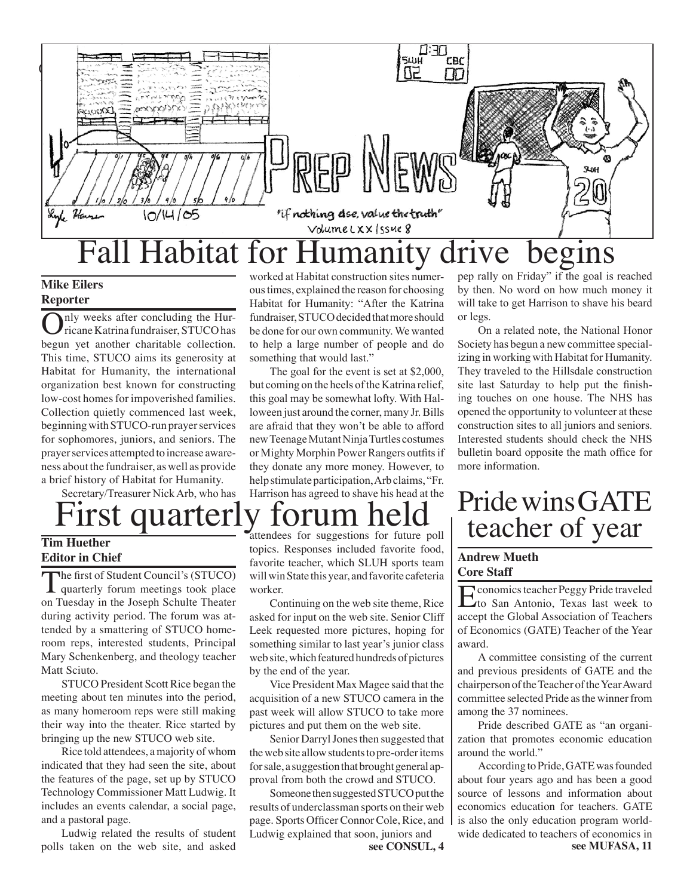

### **Mike Eilers Reporter**

nly weeks after concluding the Hurricane Katrina fundraiser, STUCO has begun yet another charitable collection. This time, STUCO aims its generosity at Habitat for Humanity, the international organization best known for constructing low-cost homes for impoverished families. Collection quietly commenced last week, beginning with STUCO-run prayer services for sophomores, juniors, and seniors. The prayer services attempted to increase awareness about the fundraiser, as well as provide a brief history of Habitat for Humanity.

 Secretary/Treasurer Nick Arb, who has

### **Tim Huether Editor in Chief**

The first of Student Council's (STUCO)<br>quarterly forum meetings took place on Tuesday in the Joseph Schulte Theater during activity period. The forum was attended by a smattering of STUCO homeroom reps, interested students, Principal Mary Schenkenberg, and theology teacher Matt Sciuto.

STUCO President Scott Rice began the meeting about ten minutes into the period, as many homeroom reps were still making their way into the theater. Rice started by bringing up the new STUCO web site.

Rice told attendees, a majority of whom indicated that they had seen the site, about the features of the page, set up by STUCO Technology Commissioner Matt Ludwig. It includes an events calendar, a social page, and a pastoral page.

Ludwig related the results of student polls taken on the web site, and asked

worked at Habitat construction sites numeroustimes, explained the reason for choosing Habitat for Humanity: "After the Katrina fundraiser, STUCO decided that more should be done for our own community.We wanted to help a large number of people and do something that would last."

 The goal for the event is set at \$2,000, but coming on the heels of the Katrina relief, this goal may be somewhat lofty. With Halloween just around the corner, many Jr. Bills are afraid that they won't be able to afford newTeenageMutantNinjaTurtles costumes or Mighty Morphin Power Rangers outfits if they donate any more money. However, to help stimulate participation, Arb claims, "Fr. Harrison has agreed to shave his head at the

attendees for suggestions for future poll topics. Responses included favorite food, favorite teacher, which SLUH sports team will win State this year, and favorite cafeteria worker.

Continuing on the web site theme, Rice asked for input on the web site. Senior Cliff Leek requested more pictures, hoping for something similar to last year's junior class web site, which featured hundreds of pictures by the end of the year.

Vice President Max Magee said that the acquisition of a new STUCO camera in the past week will allow STUCO to take more pictures and put them on the web site.

Senior Darryl Jones then suggested that the web site allow students to pre-order items for sale, a suggestion that brought general approval from both the crowd and STUCO.

Someone then suggested STUCO put the results of underclassman sports on their web page. Sports Officer Connor Cole, Rice, and Ludwig explained that soon, juniors and

**see CONSUL, 4 see MUFASA, 11**

pep rally on Friday" if the goal is reached by then. No word on how much money it will take to get Harrison to shave his beard or legs.

 On a related note, the National Honor Society has begun a new committee specializing in working with Habitat for Humanity. They traveled to the Hillsdale construction site last Saturday to help put the finishing touches on one house. The NHS has opened the opportunity to volunteer at these construction sites to all juniors and seniors. Interested students should check the NHS bulletin board opposite the math office for more information.

## ecretary/Treasurer Nick Arb, who has Harrison has agreed to shave his head at the  $\Gamma$  Pride wins GATE teacher of year

### **Andrew Mueth Core Staff**

Economics teacher Peggy Pride traveled to San Antonio, Texas last week to accept the Global Association of Teachers of Economics (GATE) Teacher of the Year award.

A committee consisting of the current and previous presidents of GATE and the chairperson of the Teacher of the Year Award committee selected Pride as the winner from among the 37 nominees.

Pride described GATE as "an organization that promotes economic education around the world."

According to Pride, GATE was founded about four years ago and has been a good source of lessons and information about economics education for teachers. GATE is also the only education program worldwide dedicated to teachers of economics in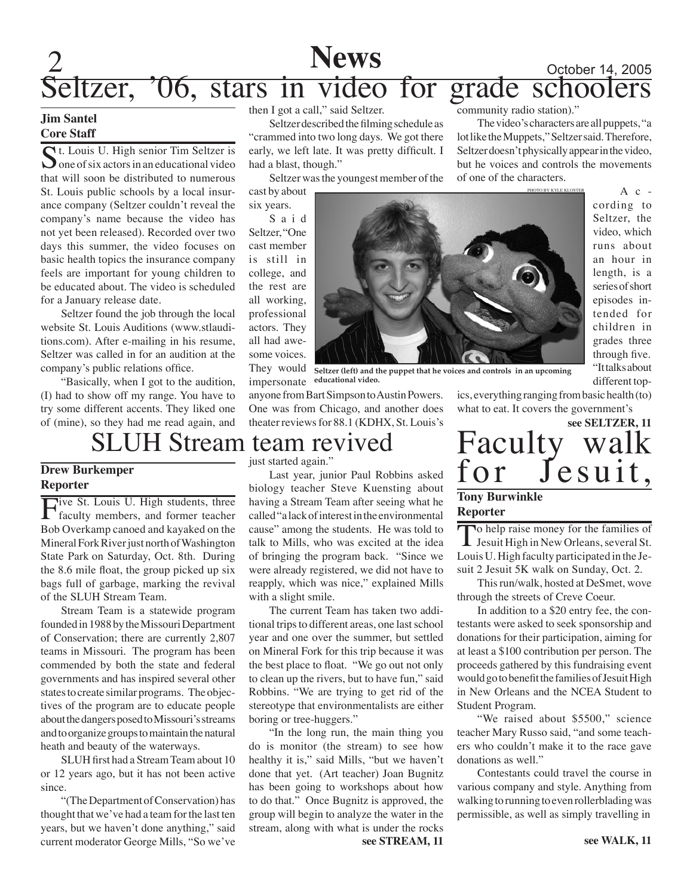### $2$  October 14, 2005 Seltzer, '06, stars in video for grade schoolers **News** community radio station)."

### **Jim Santel Core Staff**

St. Louis U. High senior Tim Seltzer is  $\sum$  one of six actors in an educational video that will soon be distributed to numerous St. Louis public schools by a local insurance company (Seltzer couldn't reveal the company's name because the video has not yet been released). Recorded over two days this summer, the video focuses on basic health topics the insurance company feels are important for young children to be educated about. The video is scheduled for a January release date.

Seltzer found the job through the local website St. Louis Auditions (www.stlauditions.com). After e-mailing in his resume, Seltzer was called in for an audition at the company's public relations office.

"Basically, when I got to the audition, (I) had to show off my range. You have to try some different accents. They liked one of (mine), so they had me read again, and

### SLUH Stream team revived just started again."

### **Drew Burkemper Reporter**

Five St. Louis U. High students, three<br>faculty members, and former teacher Bob Overkamp canoed and kayaked on the Mineral Fork River just north of Washington State Park on Saturday, Oct. 8th. During the 8.6 mile float, the group picked up six bags full of garbage, marking the revival of the SLUH Stream Team.

Stream Team is a statewide program founded in 1988 by the Missouri Department of Conservation; there are currently 2,807 teams in Missouri. The program has been commended by both the state and federal governments and has inspired several other states to create similar programs. The objectives of the program are to educate people about the dangers posed to Missouri's streams and to organize groups to maintain the natural heath and beauty of the waterways.

SLUH first had a Stream Team about 10 or 12 years ago, but it has not been active since.

"(The Department of Conservation) has thought that we've had a team for the last ten years, but we haven't done anything," said current moderator George Mills, "So we've

then I got a call," said Seltzer.

Seltzer described the filming schedule as "crammed into two long days. We got there early, we left late. It was pretty difficult. I had a blast, though."

Seltzer was the youngest member of the

cast by about six years. S a i d Seltzer, "One cast member is still in college, and the rest are all working, professional actors. They all had awesome voices.

with a slight smile.

boring or tree-huggers."



 $A$  c cording to Seltzer, the video, which runs about an hour in length, is a series of short episodes intended for children in grades three through five. "It talks about different top-

They would **Seltzer (left) and the puppet that he voices and controls in an upcoming** 

impersonate **educational video.** anyone from Bart Simpson to Austin Powers. One was from Chicago, and another does theater reviews for 88.1 (KDHX, St. Louis's

Last year, junior Paul Robbins asked biology teacher Steve Kuensting about having a Stream Team after seeing what he called "a lack of interest in the environmental cause" among the students. He was told to talk to Mills, who was excited at the idea of bringing the program back. "Since we were already registered, we did not have to reapply, which was nice," explained Mills

The current Team has taken two additional trips to different areas, one last school year and one over the summer, but settled on Mineral Fork for this trip because it was the best place to float. "We go out not only to clean up the rivers, but to have fun," said Robbins. "We are trying to get rid of the stereotype that environmentalists are either

"In the long run, the main thing you do is monitor (the stream) to see how healthy it is," said Mills, "but we haven't done that yet. (Art teacher) Joan Bugnitz has been going to workshops about how to do that." Once Bugnitz is approved, the group will begin to analyze the water in the stream, along with what is under the rocks Faculty walk<br>for Jesuit, Je suit, **see SELTZER, 11**

The video's characters are all puppets, "a lot like the Muppets," Seltzer said. Therefore, Seltzer doesn't physically appear in the video, but he voices and controls the movements

of one of the characters.

### **Tony Burwinkle Reporter**

To help raise money for the families of Jesuit High in New Orleans, several St. Louis U. High faculty participated in the Jesuit 2 Jesuit 5K walk on Sunday, Oct. 2.

This run/walk, hosted at DeSmet, wove through the streets of Creve Coeur.

In addition to a \$20 entry fee, the contestants were asked to seek sponsorship and donations for their participation, aiming for at least a \$100 contribution per person. The proceeds gathered by this fundraising event would go to benefit the families of Jesuit High in New Orleans and the NCEA Student to Student Program.

"We raised about \$5500," science teacher Mary Russo said, "and some teachers who couldn't make it to the race gave donations as well."

Contestants could travel the course in various company and style. Anything from walking to running to even rollerblading was permissible, as well as simply travelling in

ics, everything ranging from basic health (to) what to eat. It covers the government's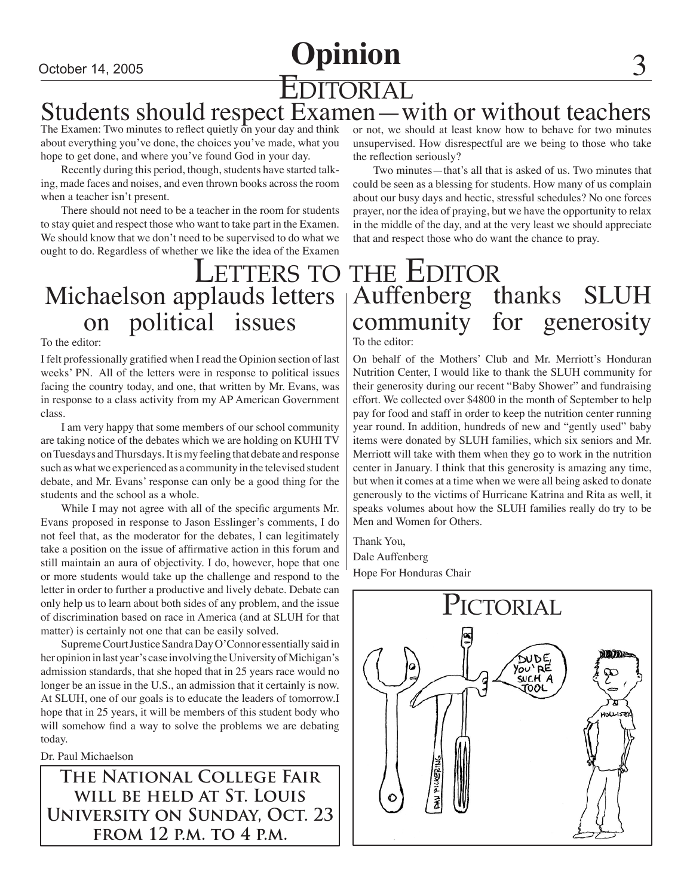## October 14, 2005 **Opinion**

## EDITORIAL Students should respect Examen—with or without teachers

The Examen: Two minutes to reflect quietly on your day and think about everything you've done, the choices you've made, what you hope to get done, and where you've found God in your day.

Recently during this period, though, students have started talking, made faces and noises, and even thrown books across the room when a teacher isn't present.

There should not need to be a teacher in the room for students to stay quiet and respect those who want to take part in the Examen. We should know that we don't need to be supervised to do what we ought to do. Regardless of whether we like the idea of the Examen

# Michaelson applauds letters on political issues

To the editor:

I felt professionally gratified when I read the Opinion section of last weeks' PN. All of the letters were in response to political issues facing the country today, and one, that written by Mr. Evans, was in response to a class activity from my AP American Government class.

I am very happy that some members of our school community are taking notice of the debates which we are holding on KUHI TV on Tuesdays and Thursdays. It is my feeling that debate and response such as what we experienced as a community in the televised student debate, and Mr. Evans' response can only be a good thing for the students and the school as a whole.

While I may not agree with all of the specific arguments Mr. Evans proposed in response to Jason Esslinger's comments, I do not feel that, as the moderator for the debates, I can legitimately take a position on the issue of affirmative action in this forum and still maintain an aura of objectivity. I do, however, hope that one or more students would take up the challenge and respond to the letter in order to further a productive and lively debate. Debate can only help us to learn about both sides of any problem, and the issue of discrimination based on race in America (and at SLUH for that matter) is certainly not one that can be easily solved.

Supreme Court Justice Sandra Day O'Connor essentially said in her opinion in last year's case involving the University of Michigan's admission standards, that she hoped that in 25 years race would no longer be an issue in the U.S., an admission that it certainly is now. At SLUH, one of our goals is to educate the leaders of tomorrow.I hope that in 25 years, it will be members of this student body who will somehow find a way to solve the problems we are debating today.

Dr. Paul Michaelson

**The National College Fair will be held at St. Louis University on Sunday, Oct. 23 from 12 p.m. to 4 p.m.**

or not, we should at least know how to behave for two minutes unsupervised. How disrespectful are we being to those who take the reflection seriously?

Two minutes—that's all that is asked of us. Two minutes that could be seen as a blessing for students. How many of us complain about our busy days and hectic, stressful schedules? No one forces prayer, nor the idea of praying, but we have the opportunity to relax in the middle of the day, and at the very least we should appreciate that and respect those who do want the chance to pray.

## Letters to the Editor Auffenberg thanks SLUH<br>community for generosity community for generosity To the editor:

On behalf of the Mothers' Club and Mr. Merriott's Honduran

Nutrition Center, I would like to thank the SLUH community for their generosity during our recent "Baby Shower" and fundraising effort. We collected over \$4800 in the month of September to help pay for food and staff in order to keep the nutrition center running year round. In addition, hundreds of new and "gently used" baby items were donated by SLUH families, which six seniors and Mr. Merriott will take with them when they go to work in the nutrition center in January. I think that this generosity is amazing any time, but when it comes at a time when we were all being asked to donate generously to the victims of Hurricane Katrina and Rita as well, it speaks volumes about how the SLUH families really do try to be Men and Women for Others.

Thank You, Dale Auffenberg Hope For Honduras Chair

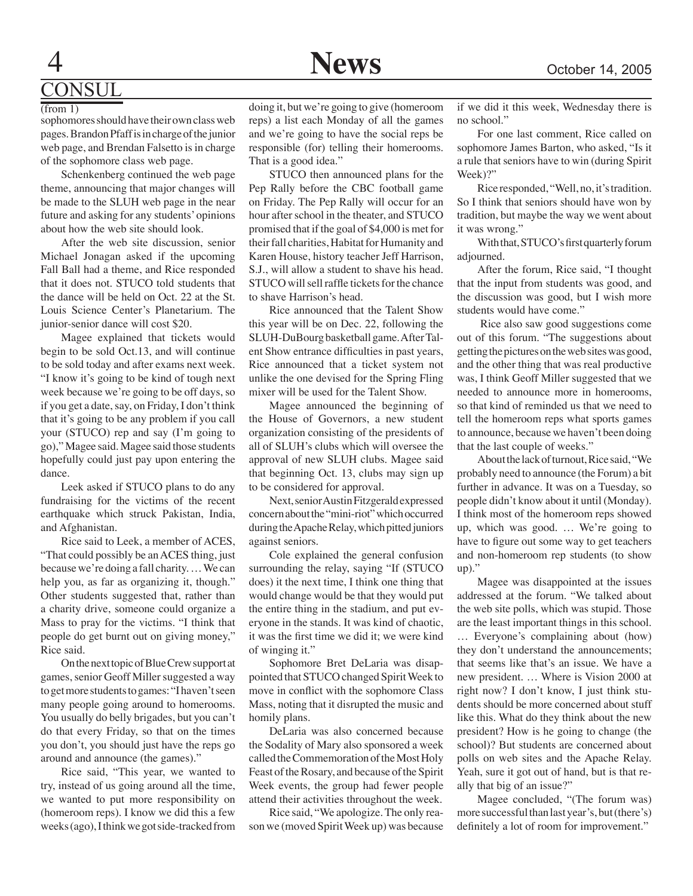## **DNSUL**

 $(from 1)$ 

sophomores should have their own class web pages. Brandon Pfaff is in charge of the junior web page, and Brendan Falsetto is in charge of the sophomore class web page.

Schenkenberg continued the web page theme, announcing that major changes will be made to the SLUH web page in the near future and asking for any students' opinions about how the web site should look.

After the web site discussion, senior Michael Jonagan asked if the upcoming Fall Ball had a theme, and Rice responded that it does not. STUCO told students that the dance will be held on Oct. 22 at the St. Louis Science Center's Planetarium. The junior-senior dance will cost \$20.

Magee explained that tickets would begin to be sold Oct.13, and will continue to be sold today and after exams next week. "I know it's going to be kind of tough next week because we're going to be off days, so if you get a date, say, on Friday, I don't think that it's going to be any problem if you call your (STUCO) rep and say (I'm going to go)," Magee said. Magee said those students hopefully could just pay upon entering the dance.

Leek asked if STUCO plans to do any fundraising for the victims of the recent earthquake which struck Pakistan, India, and Afghanistan.

Rice said to Leek, a member of ACES, "That could possibly be an ACES thing, just because we're doing a fall charity. … We can help you, as far as organizing it, though." Other students suggested that, rather than a charity drive, someone could organize a Mass to pray for the victims. "I think that people do get burnt out on giving money," Rice said.

On the next topic of Blue Crew support at games, senior Geoff Miller suggested a way to get more students to games: "I haven't seen many people going around to homerooms. You usually do belly brigades, but you can't do that every Friday, so that on the times you don't, you should just have the reps go around and announce (the games)."

Rice said, "This year, we wanted to try, instead of us going around all the time, we wanted to put more responsibility on (homeroom reps). I know we did this a few weeks (ago), I think we got side-tracked from

doing it, but we're going to give (homeroom reps) a list each Monday of all the games and we're going to have the social reps be responsible (for) telling their homerooms. That is a good idea."

STUCO then announced plans for the Pep Rally before the CBC football game on Friday. The Pep Rally will occur for an hour after school in the theater, and STUCO promised that if the goal of \$4,000 is met for their fall charities, Habitat for Humanity and Karen House, history teacher Jeff Harrison, S.J., will allow a student to shave his head. STUCO will sell raffle tickets for the chance to shave Harrison's head.

Rice announced that the Talent Show this year will be on Dec. 22, following the SLUH-DuBourg basketball game. After Talent Show entrance difficulties in past years, Rice announced that a ticket system not unlike the one devised for the Spring Fling mixer will be used for the Talent Show.

Magee announced the beginning of the House of Governors, a new student organization consisting of the presidents of all of SLUH's clubs which will oversee the approval of new SLUH clubs. Magee said that beginning Oct. 13, clubs may sign up to be considered for approval.

Next, senior Austin Fitzgerald expressed concern about the "mini-riot" which occurred during the Apache Relay, which pitted juniors against seniors.

Cole explained the general confusion surrounding the relay, saying "If (STUCO does) it the next time, I think one thing that would change would be that they would put the entire thing in the stadium, and put everyone in the stands. It was kind of chaotic, it was the first time we did it; we were kind of winging it."

Sophomore Bret DeLaria was disappointed that STUCO changed Spirit Week to move in conflict with the sophomore Class Mass, noting that it disrupted the music and homily plans.

DeLaria was also concerned because the Sodality of Mary also sponsored a week called the Commemoration of the Most Holy Feast of the Rosary, and because of the Spirit Week events, the group had fewer people attend their activities throughout the week.

Rice said, "We apologize. The only reason we (moved Spirit Week up) was because if we did it this week, Wednesday there is no school."

For one last comment, Rice called on sophomore James Barton, who asked, "Is it a rule that seniors have to win (during Spirit Week)?"

Rice responded, "Well, no, it's tradition. So I think that seniors should have won by tradition, but maybe the way we went about it was wrong."

With that, STUCO's first quarterly forum adjourned.

After the forum, Rice said, "I thought that the input from students was good, and the discussion was good, but I wish more students would have come."

 Rice also saw good suggestions come out of this forum. "The suggestions about getting the pictures on the web sites was good, and the other thing that was real productive was, I think Geoff Miller suggested that we needed to announce more in homerooms, so that kind of reminded us that we need to tell the homeroom reps what sports games to announce, because we haven't been doing that the last couple of weeks."

About the lack of turnout, Rice said, "We probably need to announce (the Forum) a bit further in advance. It was on a Tuesday, so people didn't know about it until (Monday). I think most of the homeroom reps showed up, which was good. … We're going to have to figure out some way to get teachers and non-homeroom rep students (to show  $up)$ ."

Magee was disappointed at the issues addressed at the forum. "We talked about the web site polls, which was stupid. Those are the least important things in this school. … Everyone's complaining about (how) they don't understand the announcements; that seems like that's an issue. We have a new president. … Where is Vision 2000 at right now? I don't know, I just think students should be more concerned about stuff like this. What do they think about the new president? How is he going to change (the school)? But students are concerned about polls on web sites and the Apache Relay. Yeah, sure it got out of hand, but is that really that big of an issue?"

Magee concluded, "(The forum was) more successful than last year's, but (there's) definitely a lot of room for improvement."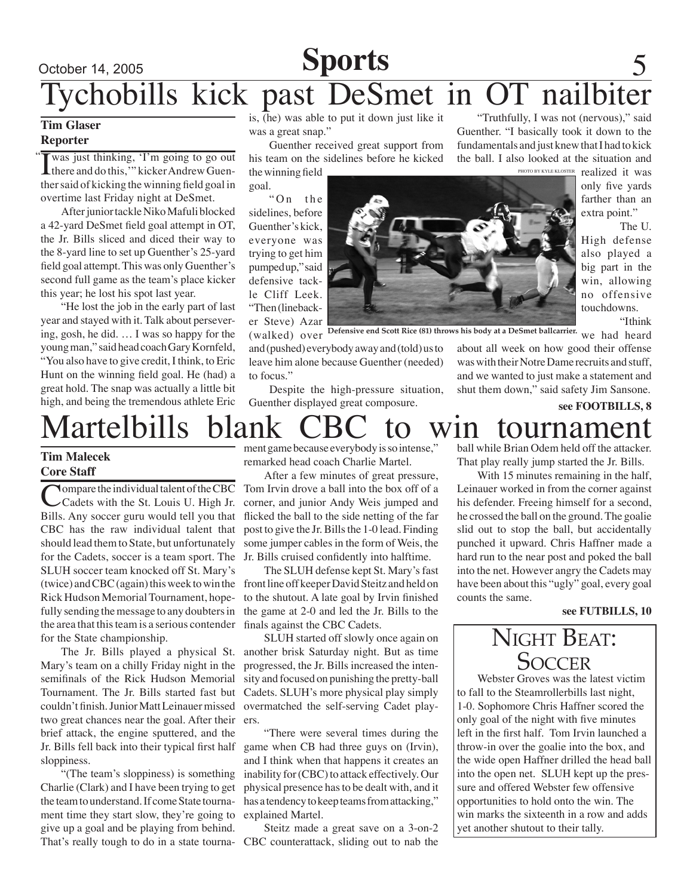### October 14, 2005

## **Sports**

## chobills kick past DeSmet in OT nailbi

### **Tim Glaser Reporter**

" I was just thinking, 'I'm going to go out there and do this,'" kicker Andrew Guenther said of kicking the winning field goal in overtime last Friday night at DeSmet.

After junior tackle Niko Mafuli blocked a 42-yard DeSmet field goal attempt in OT, the Jr. Bills sliced and diced their way to the 8-yard line to set up Guenther's 25-yard field goal attempt. This was only Guenther's second full game as the team's place kicker this year; he lost his spot last year.

"He lost the job in the early part of last year and stayed with it. Talk about persevering, gosh, he did. … I was so happy for the young man," said head coach Gary Kornfeld, "You also have to give credit, I think, to Eric Hunt on the winning field goal. He (had) a great hold. The snap was actually a little bit high, and being the tremendous athlete Eric

is,  $\overline{h}$  (he) was able to put it down just like it was a great snap."

Guenther received great support from his team on the sidelines before he kicked

the winning field goal.

" $On$  the sidelines, before Guenther's kick, everyone was trying to get him pumped up," said defensive tackle Cliff Leek. "Then (linebacker Steve) Azar

and (pushed) everybody away and (told) us to leave him alone because Guenther (needed) to focus."

Despite the high-pressure situation, Guenther displayed great composure.

PHOTO BY KYLE KLOSTER "Truthfully, I was not (nervous)," said Guenther. "I basically took it down to the fundamentals and just knew that I had to kick the ball. I also looked at the situation and

realized it was only five yards farther than an extra point."

The U. High defense also played a big part in the win, allowing no offensive touchdowns.

"Ithink

about all week on how good their offense was with their Notre Dame recruits and stuff, and we wanted to just make a statement and shut them down," said safety Jim Sansone.

**see FOOTBILLS, 8**

**Tim Malecek Core Staff**

**Nompare the individual talent of the CBC** Cadets with the St. Louis U. High Jr. Bills. Any soccer guru would tell you that CBC has the raw individual talent that should lead them to State, but unfortunately for the Cadets, soccer is a team sport. The Jr. Bills cruised confidently into halftime. SLUH soccer team knocked off St. Mary's (twice) and CBC (again) this week to win the Rick Hudson Memorial Tournament, hopefully sending the message to any doubters in the area that this team is a serious contender finals against the CBC Cadets. for the State championship.

Mary's team on a chilly Friday night in the semifinals of the Rick Hudson Memorial Tournament. The Jr. Bills started fast but couldn't finish. Junior Matt Leinauer missed two great chances near the goal. After their ers. brief attack, the engine sputtered, and the Jr. Bills fell back into their typical first half sloppiness.

"(The team's sloppiness) is something Charlie (Clark) and I have been trying to get the team to understand. If come State tournament time they start slow, they're going to give up a goal and be playing from behind. That's really tough to do in a state tourna-CBC counterattack, sliding out to nab the

ment game because everybody is so intense," remarked head coach Charlie Martel.

After a few minutes of great pressure, Tom Irvin drove a ball into the box off of a corner, and junior Andy Weis jumped and flicked the ball to the side netting of the far post to give the Jr. Bills the 1-0 lead. Finding some jumper cables in the form of Weis, the

The SLUH defense kept St. Mary's fast front line off keeper David Steitz and held on to the shutout. A late goal by Irvin finished the game at 2-0 and led the Jr. Bills to the

The Jr. Bills played a physical St. another brisk Saturday night. But as time SLUH started off slowly once again on progressed, the Jr. Bills increased the intensity and focused on punishing the pretty-ball Cadets. SLUH's more physical play simply overmatched the self-serving Cadet play-

> "There were several times during the game when CB had three guys on (Irvin), and I think when that happens it creates an inability for (CBC) to attack effectively. Our physical presence has to be dealt with, and it has a tendency to keep teams from attacking," explained Martel.

> Steitz made a great save on a 3-on-2

Martelbills blank CBC to win tournament ball while Brian Odem held off the attacker. That play really jump started the Jr. Bills.

> With 15 minutes remaining in the half, Leinauer worked in from the corner against his defender. Freeing himself for a second, he crossed the ball on the ground. The goalie slid out to stop the ball, but accidentally punched it upward. Chris Haffner made a hard run to the near post and poked the ball into the net. However angry the Cadets may have been about this "ugly" goal, every goal counts the same.

#### **see FUTBILLS, 10**



Webster Groves was the latest victim to fall to the Steamrollerbills last night, 1-0. Sophomore Chris Haffner scored the only goal of the night with five minutes left in the first half. Tom Irvin launched a throw-in over the goalie into the box, and the wide open Haffner drilled the head ball into the open net. SLUH kept up the pressure and offered Webster few offensive opportunities to hold onto the win. The win marks the sixteenth in a row and adds yet another shutout to their tally.

(walked) over <sup>Defensive end Scott Rice (81) throws his body at a DeSmet ballcarrier. we had heard</sup>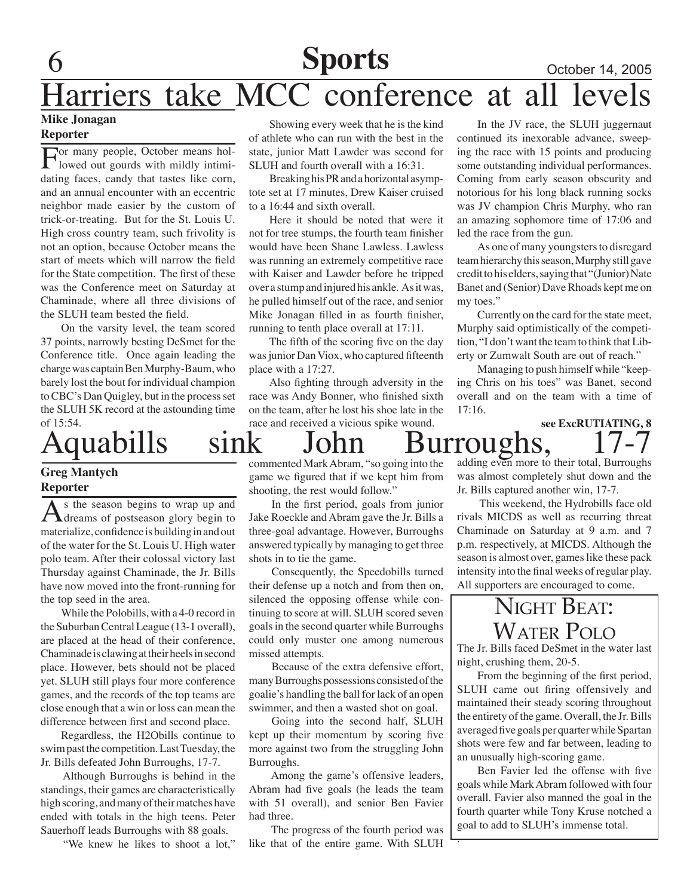## **Sports** October 14, 2005

## Harriers take MCC conference at all levels

### **Mike Jonagan Reporter**

For many people, October means hollowed out gourds with mildly intimidating faces, candy that tastes like corn, and an annual encounter with an eccentric neighbor made easier by the custom of trick-or-treating. But for the St. Louis U. High cross country team, such frivolity is not an option, because October means the start of meets which will narrow the field for the State competition. The first of these was the Conference meet on Saturday at Chaminade, where all three divisions of the SLUH team bested the field.

On the varsity level, the team scored 37 points, narrowly besting DeSmet for the Conference title. Once again leading the charge was captain Ben Murphy-Baum, who barely lost the bout for individual champion to CBC's Dan Quigley, but in the process set the SLUH 5K record at the astounding time of 15:54.

### **Greg Mantych Reporter**

As the season begins to wrap up and dreams of postseason glory begin to materialize, confidence is building in and out of the water for the St. Louis U. High water polo team. After their colossal victory last Thursday against Chaminade, the Jr. Bills have now moved into the front-running for the top seed in the area.

While the Polobills, with a 4-0 record in the Suburban Central League (13-1 overall), are placed at the head of their conference, Chaminade is clawing at their heels in second place. However, bets should not be placed yet. SLUH still plays four more conference games, and the records of the top teams are close enough that a win or loss can mean the difference between first and second place.

Regardless, the H2Obills continue to swim past the competition. Last Tuesday, the Jr. Bills defeated John Burroughs, 17-7.

 Although Burroughs is behind in the standings, their games are characteristically high scoring, and many of their matches have ended with totals in the high teens. Peter Sauerhoff leads Burroughs with 88 goals.

"We knew he likes to shoot a lot,"

Showing every week that he is the kind of athlete who can run with the best in the state, junior Matt Lawder was second for SLUH and fourth overall with a 16:31.

Breaking his PR and a horizontal asymptote set at 17 minutes, Drew Kaiser cruised to a 16:44 and sixth overall.

Here it should be noted that were it not for tree stumps, the fourth team finisher would have been Shane Lawless. Lawless was running an extremely competitive race with Kaiser and Lawder before he tripped over a stump and injured his ankle. As it was, he pulled himself out of the race, and senior Mike Jonagan filled in as fourth finisher, running to tenth place overall at 17:11.

The fifth of the scoring five on the day was junior Dan Viox, who captured fifteenth place with a 17:27.

Also fighting through adversity in the race was Andy Bonner, who finished sixth on the team, after he lost his shoe late in the race and received a vicious spike wound.

In the JV race, the SLUH juggernaut continued its inexorable advance, sweeping the race with 15 points and producing some outstanding individual performances. Coming from early season obscurity and notorious for his long black running socks was JV champion Chris Murphy, who ran an amazing sophomore time of 17:06 and led the race from the gun.

As one of many youngsters to disregard team hierarchy this season, Murphy still gave credit to his elders, saying that "(Junior) Nate Banet and (Senior) Dave Rhoads kept me on my toes."

Currently on the card for the state meet, Murphy said optimistically of the competition, "I don't want the team to think that Liberty or Zumwalt South are out of reach."

Managing to push himself while "keeping Chris on his toes" was Banet, second overall and on the team with a time of  $17:16$ 

### **see ExcRUTIATING, 8** Aquabills sink John Burroughs,

commented Mark Abram, "so going into the game we figured that if we kept him from shooting, the rest would follow."

 In the first period, goals from junior Jake Roeckle and Abram gave the Jr. Bills a three-goal advantage. However, Burroughs answered typically by managing to get three shots in to tie the game.

 Consequently, the Speedobills turned their defense up a notch and from then on, silenced the opposing offense while continuing to score at will. SLUH scored seven goals in the second quarter while Burroughs could only muster one among numerous missed attempts.

 Because of the extra defensive effort, many Burroughs possessions consisted of the goalie's handling the ball for lack of an open swimmer, and then a wasted shot on goal.

 Going into the second half, SLUH kept up their momentum by scoring five more against two from the struggling John Burroughs.

 Among the game's offensive leaders, Abram had five goals (he leads the team with 51 overall), and senior Ben Favier had three.

 The progress of the fourth period was like that of the entire game. With SLUH

adding even more to their total, Burroughs was almost completely shut down and the Jr. Bills captured another win, 17-7.

 This weekend, the Hydrobills face old rivals MICDS as well as recurring threat Chaminade on Saturday at 9 a.m. and 7 p.m. respectively, at MICDS. Although the season is almost over, games like these pack intensity into the final weeks of regular play. All supporters are encouraged to come.

## NIGHT BEAT: WATER POLO

The Jr. Bills faced DeSmet in the water last night, crushing them, 20-5.

From the beginning of the first period, SLUH came out firing offensively and maintained their steady scoring throughout the entirety of the game. Overall, the Jr. Bills averaged five goals per quarter while Spartan shots were few and far between, leading to an unusually high-scoring game.

Ben Favier led the offense with five goals while Mark Abram followed with four overall. Favier also manned the goal in the fourth quarter while Tony Kruse notched a goal to add to SLUH's immense total.

.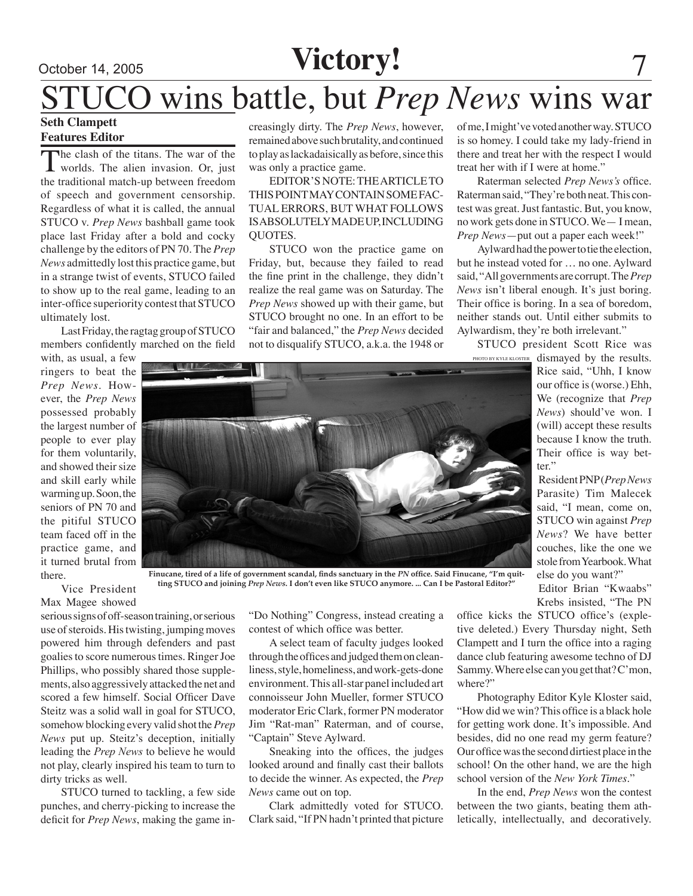## October 14, 2005 **Victory!**

# wins battle, but *Prep News* wins war

### **Seth Clampett Features Editor**

The clash of the titans. The war of the worlds. The alien invasion. Or, just the traditional match-up between freedom of speech and government censorship. Regardless of what it is called, the annual STUCO v. *Prep News* bashball game took place last Friday after a bold and cocky challenge by the editors of PN 70. The *Prep News* admittedly lost this practice game, but in a strange twist of events, STUCO failed to show up to the real game, leading to an inter-office superiority contest that STUCO ultimately lost.

Last Friday, the ragtag group of STUCO members confidently marched on the field

with, as usual, a few ringers to beat the *Prep News*. However, the *Prep News*  possessed probably the largest number of people to ever play for them voluntarily, and showed their size and skill early while warming up. Soon, the seniors of PN 70 and the pitiful STUCO team faced off in the practice game, and it turned brutal from there.

creasingly dirty. The *Prep News*, however, remained above such brutality, and continued to play as lackadaisically as before, since this was only a practice game.

EDITOR'S NOTE: THE ARTICLE TO THIS POINT MAY CONTAIN SOME FAC-TUAL ERRORS, BUT WHAT FOLLOWS IS ABSOLUTELY MADE UP, INCLUDING QUOTES.

STUCO won the practice game on Friday, but, because they failed to read the fine print in the challenge, they didn't realize the real game was on Saturday. The *Prep News* showed up with their game, but STUCO brought no one. In an effort to be "fair and balanced," the *Prep News* decided not to disqualify STUCO, a.k.a. the 1948 or of me, I might've voted another way. STUCO is so homey. I could take my lady-friend in there and treat her with the respect I would treat her with if I were at home.'

Raterman selected *Prep News's* office. Raterman said, "They're both neat. This contest was great. Just fantastic. But, you know, no work gets done in STUCO. We— I mean, *Prep News*—put out a paper each week!"

Aylward had the power to tie the election, but he instead voted for … no one. Aylward said, "All governments are corrupt. The *Prep News* isn't liberal enough. It's just boring. Their office is boring. In a sea of boredom, neither stands out. Until either submits to Aylwardism, they're both irrelevant."

STUCO president Scott Rice was PHOTO BY KYLE KLOSTER

dismayed by the results. Rice said, "Uhh, I know our office is (worse.) Ehh, We (recognize that *Prep News*) should've won. I (will) accept these results because I know the truth. Their office is way better."

Resident PNP (*Prep News*  Parasite) Tim Malecek said, "I mean, come on, STUCO win against *Prep News*? We have better couches, like the one we stole from Yearbook. What else do you want?"

Editor Brian "Kwaabs" Krebs insisted, "The PN

Vice President Max Magee showed

serious signs of off-season training, or serious use of steroids. His twisting, jumping moves powered him through defenders and past goalies to score numerous times. Ringer Joe Phillips, who possibly shared those supplements, also aggressively attacked the net and scored a few himself. Social Officer Dave Steitz was a solid wall in goal for STUCO, somehow blocking every valid shot the *Prep News* put up. Steitz's deception, initially leading the *Prep News* to believe he would not play, clearly inspired his team to turn to dirty tricks as well.

STUCO turned to tackling, a few side punches, and cherry-picking to increase the deficit for *Prep News*, making the game in-

"Do Nothing" Congress, instead creating a contest of which office was better.

**Finucane, tired of a life of government scandal, finds sanctuary in the** *PN* **office. Said Finucane, "I'm quitting STUCO and joining** *Prep News***. I don't even like STUCO anymore. ... Can I be Pastoral Editor?"**

> A select team of faculty judges looked through the offices and judged them on cleanliness, style, homeliness, and work-gets-done environment. This all-star panel included art connoisseur John Mueller, former STUCO moderator Eric Clark, former PN moderator Jim "Rat-man" Raterman, and of course, "Captain" Steve Aylward.

> Sneaking into the offices, the judges looked around and finally cast their ballots to decide the winner. As expected, the *Prep News* came out on top.

> Clark admittedly voted for STUCO. Clark said, "If PN hadn't printed that picture

office kicks the STUCO office's (expletive deleted.) Every Thursday night, Seth Clampett and I turn the office into a raging dance club featuring awesome techno of DJ Sammy. Where else can you get that? C'mon, where?"

Photography Editor Kyle Kloster said, "How did we win? This office is a black hole for getting work done. It's impossible. And besides, did no one read my germ feature? Our office was the second dirtiest place in the school! On the other hand, we are the high school version of the *New York Times.*"

In the end, *Prep News* won the contest between the two giants, beating them athletically, intellectually, and decoratively.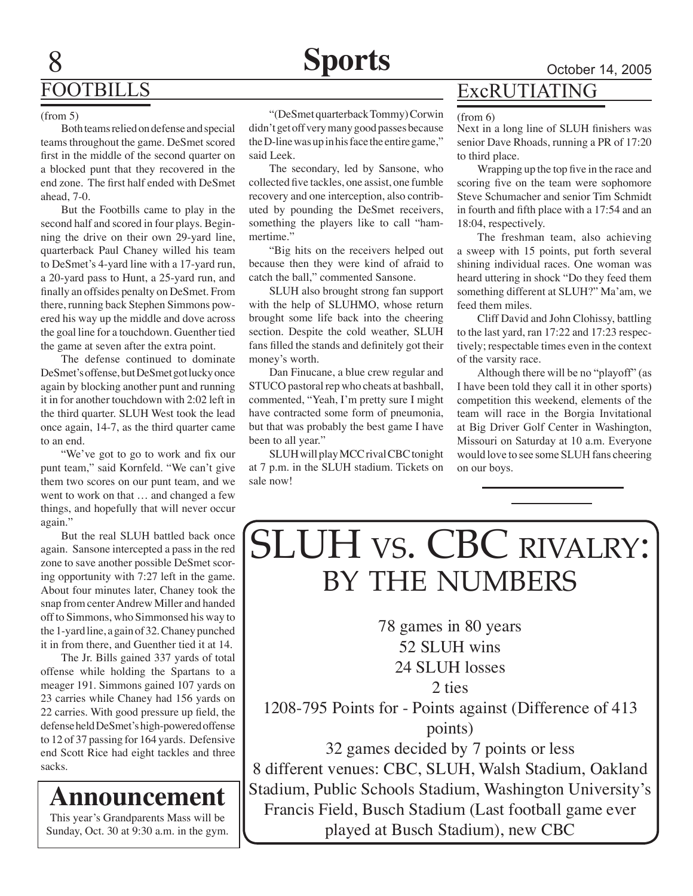## FOOTBILLS

#### (from 5)

8

Both teams relied on defense and special teams throughout the game. DeSmet scored first in the middle of the second quarter on a blocked punt that they recovered in the end zone. The first half ended with DeSmet ahead, 7-0.

But the Footbills came to play in the second half and scored in four plays. Beginning the drive on their own 29-yard line, quarterback Paul Chaney willed his team to DeSmet's 4-yard line with a 17-yard run, a 20-yard pass to Hunt, a 25-yard run, and finally an offsides penalty on DeSmet. From there, running back Stephen Simmons powered his way up the middle and dove across the goal line for a touchdown. Guenther tied the game at seven after the extra point.

The defense continued to dominate DeSmet's offense, but DeSmet got lucky once again by blocking another punt and running it in for another touchdown with 2:02 left in the third quarter. SLUH West took the lead once again, 14-7, as the third quarter came to an end.

"We've got to go to work and fix our punt team," said Kornfeld. "We can't give them two scores on our punt team, and we went to work on that … and changed a few things, and hopefully that will never occur again."

But the real SLUH battled back once again. Sansone intercepted a pass in the red zone to save another possible DeSmet scoring opportunity with 7:27 left in the game. About four minutes later, Chaney took the snap from center Andrew Miller and handed off to Simmons, who Simmonsed his way to the 1-yard line, a gain of 32. Chaney punched it in from there, and Guenther tied it at 14.

The Jr. Bills gained 337 yards of total offense while holding the Spartans to a meager 191. Simmons gained 107 yards on 23 carries while Chaney had 156 yards on 22 carries. With good pressure up field, the defense held DeSmet's high-powered offense to 12 of 37 passing for 164 yards. Defensive end Scott Rice had eight tackles and three sacks.

This year's Grandparents Mass will be **Announcement**

Sunday, Oct. 30 at 9:30 a.m. in the gym.

"(DeSmet quarterback Tommy) Corwin didn't get off very many good passes because the D-line was up in his face the entire game," said Leek.

The secondary, led by Sansone, who collected five tackles, one assist, one fumble recovery and one interception, also contributed by pounding the DeSmet receivers, something the players like to call "hammertime."

"Big hits on the receivers helped out because then they were kind of afraid to catch the ball," commented Sansone.

SLUH also brought strong fan support with the help of SLUHMO, whose return brought some life back into the cheering section. Despite the cold weather, SLUH fans filled the stands and definitely got their money's worth.

Dan Finucane, a blue crew regular and STUCO pastoral rep who cheats at bashball, commented, "Yeah, I'm pretty sure I might have contracted some form of pneumonia, but that was probably the best game I have been to all year."

SLUH will play MCC rival CBC tonight at 7 p.m. in the SLUH stadium. Tickets on sale now!

## ExcRUTIATING

#### (from 6)

Next in a long line of SLUH finishers was senior Dave Rhoads, running a PR of 17:20 to third place.

Wrapping up the top five in the race and scoring five on the team were sophomore Steve Schumacher and senior Tim Schmidt in fourth and fifth place with a 17:54 and an 18:04, respectively.

The freshman team, also achieving a sweep with 15 points, put forth several shining individual races. One woman was heard uttering in shock "Do they feed them something different at SLUH?" Ma'am, we feed them miles.

Cliff David and John Clohissy, battling to the last yard, ran 17:22 and 17:23 respectively; respectable times even in the context of the varsity race.

 Although there will be no "playoff" (as I have been told they call it in other sports) competition this weekend, elements of the team will race in the Borgia Invitational at Big Driver Golf Center in Washington, Missouri on Saturday at 10 a.m. Everyone would love to see some SLUH fans cheering on our boys.

# SLUH vs. CBC rivalry: by the numbers

78 games in 80 years 52 SLUH wins 24 SLUH losses 2 ties

1208-795 Points for - Points against (Difference of 413 points)

32 games decided by 7 points or less 8 different venues: CBC, SLUH, Walsh Stadium, Oakland Stadium, Public Schools Stadium, Washington University's Francis Field, Busch Stadium (Last football game ever played at Busch Stadium), new CBC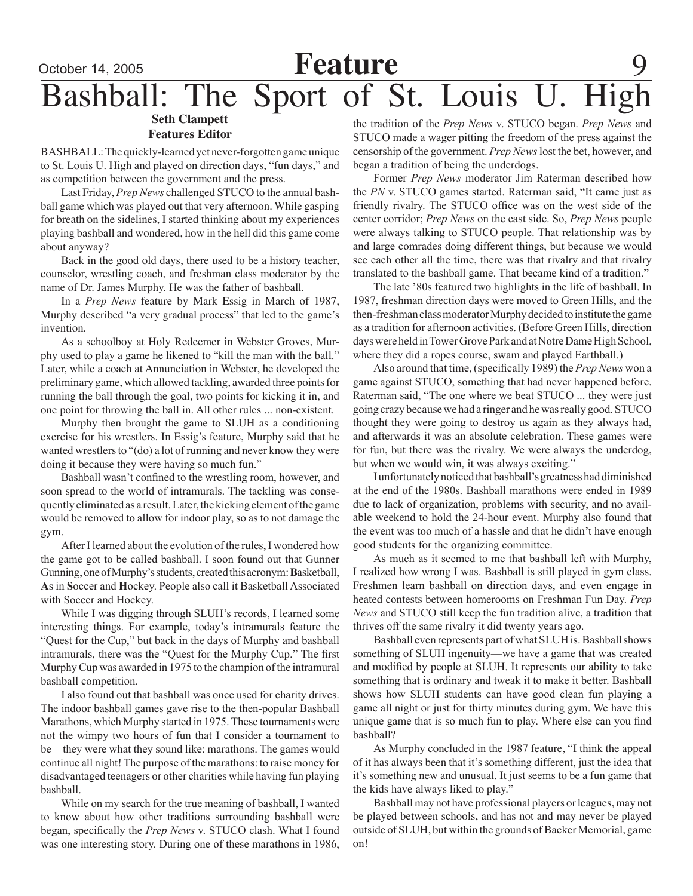### **Features Editor**

BASHBALL: The quickly-learned yet never-forgotten game unique to St. Louis U. High and played on direction days, "fun days," and as competition between the government and the press.

Last Friday, *Prep News* challenged STUCO to the annual bashball game which was played out that very afternoon. While gasping for breath on the sidelines, I started thinking about my experiences playing bashball and wondered, how in the hell did this game come about anyway?

Back in the good old days, there used to be a history teacher, counselor, wrestling coach, and freshman class moderator by the name of Dr. James Murphy. He was the father of bashball.

In a *Prep News* feature by Mark Essig in March of 1987, Murphy described "a very gradual process" that led to the game's invention.

As a schoolboy at Holy Redeemer in Webster Groves, Murphy used to play a game he likened to "kill the man with the ball." Later, while a coach at Annunciation in Webster, he developed the preliminary game, which allowed tackling, awarded three points for running the ball through the goal, two points for kicking it in, and one point for throwing the ball in. All other rules ... non-existent.

Murphy then brought the game to SLUH as a conditioning exercise for his wrestlers. In Essig's feature, Murphy said that he wanted wrestlers to "(do) a lot of running and never know they were doing it because they were having so much fun."

Bashball wasn't confined to the wrestling room, however, and soon spread to the world of intramurals. The tackling was consequently eliminated as a result. Later, the kicking element of the game would be removed to allow for indoor play, so as to not damage the gym.

After I learned about the evolution of the rules, I wondered how the game got to be called bashball. I soon found out that Gunner Gunning, one of Murphy's students, created this acronym: Basketball, **A**s in **S**occer and **H**ockey. People also call it Basketball Associated with Soccer and Hockey.

 While I was digging through SLUH's records, I learned some interesting things. For example, today's intramurals feature the "Quest for the Cup," but back in the days of Murphy and bashball intramurals, there was the "Quest for the Murphy Cup." The first Murphy Cup was awarded in 1975 to the champion of the intramural bashball competition.

 I also found out that bashball was once used for charity drives. The indoor bashball games gave rise to the then-popular Bashball Marathons, which Murphy started in 1975.These tournaments were not the wimpy two hours of fun that I consider a tournament to be—they were what they sound like: marathons. The games would continue all night! The purpose of the marathons: to raise money for disadvantaged teenagers or other charities while having fun playing bashball.

 While on my search for the true meaning of bashball, I wanted to know about how other traditions surrounding bashball were began, specifically the *Prep News* v. STUCO clash. What I found was one interesting story. During one of these marathons in 1986,

the tradition of the *Prep News* v. STUCO began. *Prep News* and STUCO made a wager pitting the freedom of the press against the censorship of the government. *Prep News*lost the bet, however, and began a tradition of being the underdogs.

 Former *Prep News* moderator Jim Raterman described how the *PN* v. STUCO games started. Raterman said, "It came just as friendly rivalry. The STUCO office was on the west side of the center corridor; *Prep News* on the east side. So, *Prep News* people were always talking to STUCO people. That relationship was by and large comrades doing different things, but because we would see each other all the time, there was that rivalry and that rivalry translated to the bashball game. That became kind of a tradition."

 The late '80s featured two highlights in the life of bashball. In 1987, freshman direction days were moved to Green Hills, and the then-freshman class moderator Murphy decided to institute the game as a tradition for afternoon activities. (Before Green Hills, direction days were held in Tower Grove Park and at Notre Dame High School, where they did a ropes course, swam and played Earthball.)

Also around that time, (specifically 1989) the *Prep News* won a game against STUCO, something that had never happened before. Raterman said, "The one where we beat STUCO ... they were just going crazy becausewe had a ringer and hewasreally good.STUCO thought they were going to destroy us again as they always had, and afterwards it was an absolute celebration. These games were for fun, but there was the rivalry. We were always the underdog, but when we would win, it was always exciting."

I unfortunately noticed that bashball's greatness had diminished at the end of the 1980s. Bashball marathons were ended in 1989 due to lack of organization, problems with security, and no available weekend to hold the 24-hour event. Murphy also found that the event was too much of a hassle and that he didn't have enough good students for the organizing committee.

 As much as it seemed to me that bashball left with Murphy, I realized how wrong I was. Bashball is still played in gym class. Freshmen learn bashball on direction days, and even engage in heated contests between homerooms on Freshman Fun Day. *Prep News* and STUCO still keep the fun tradition alive, a tradition that thrives off the same rivalry it did twenty years ago.

Bashball even represents part of what SLUH is. Bashball shows something of SLUH ingenuity—we have a game that was created and modified by people at SLUH. It represents our ability to take something that is ordinary and tweak it to make it better. Bashball shows how SLUH students can have good clean fun playing a game all night or just for thirty minutes during gym. We have this unique game that is so much fun to play. Where else can you find bashball?

As Murphy concluded in the 1987 feature, "I think the appeal of it has always been that it's something different, just the idea that it's something new and unusual. It just seems to be a fun game that the kids have always liked to play."

Bashball may not have professional players or leagues, may not be played between schools, and has not and may never be played outside of SLUH, but within the grounds of Backer Memorial, game on!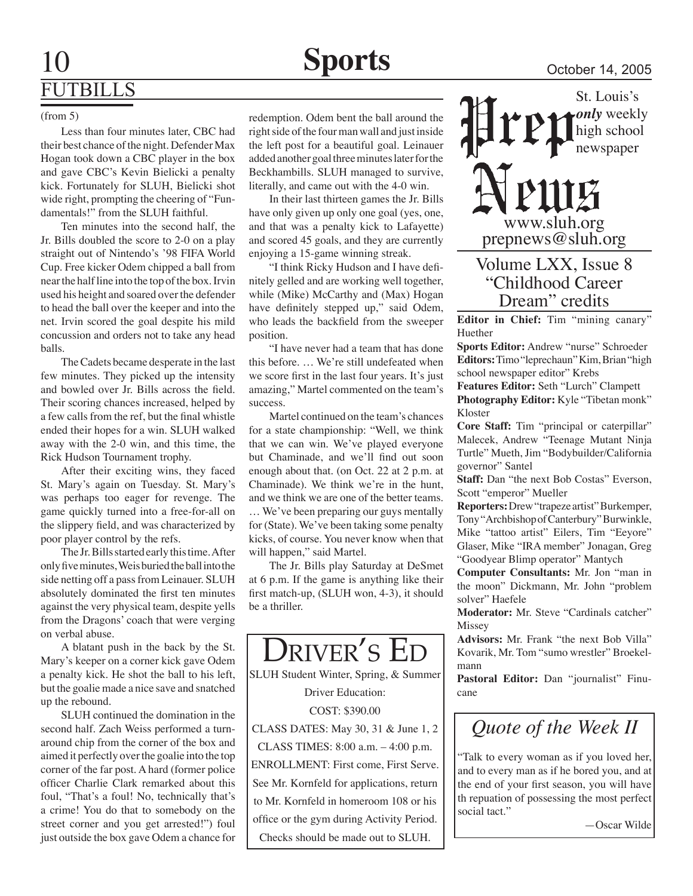#### (from 5)

Less than four minutes later, CBC had their best chance of the night. Defender Max Hogan took down a CBC player in the box and gave CBC's Kevin Bielicki a penalty kick. Fortunately for SLUH, Bielicki shot wide right, prompting the cheering of "Fundamentals!" from the SLUH faithful.

Ten minutes into the second half, the Jr. Bills doubled the score to 2-0 on a play straight out of Nintendo's '98 FIFA World Cup. Free kicker Odem chipped a ball from near the half line into the top of the box. Irvin used his height and soared over the defender to head the ball over the keeper and into the net. Irvin scored the goal despite his mild concussion and orders not to take any head balls.

The Cadets became desperate in the last few minutes. They picked up the intensity and bowled over Jr. Bills across the field. Their scoring chances increased, helped by a few calls from the ref, but the final whistle ended their hopes for a win. SLUH walked away with the 2-0 win, and this time, the Rick Hudson Tournament trophy.

After their exciting wins, they faced St. Mary's again on Tuesday. St. Mary's was perhaps too eager for revenge. The game quickly turned into a free-for-all on the slippery field, and was characterized by poor player control by the refs.

The Jr. Bills started early this time. After only five minutes, Weis buried the ball into the side netting off a pass from Leinauer. SLUH absolutely dominated the first ten minutes against the very physical team, despite yells from the Dragons' coach that were verging on verbal abuse.

A blatant push in the back by the St. Mary's keeper on a corner kick gave Odem a penalty kick. He shot the ball to his left, but the goalie made a nice save and snatched up the rebound.

SLUH continued the domination in the second half. Zach Weiss performed a turnaround chip from the corner of the box and aimed it perfectly over the goalie into the top corner of the far post. A hard (former police officer Charlie Clark remarked about this foul, "That's a foul! No, technically that's a crime! You do that to somebody on the street corner and you get arrested!") foul just outside the box gave Odem a chance for

redemption. Odem bent the ball around the right side of the four man wall and just inside the left post for a beautiful goal. Leinauer added another goal three minutes later for the Beckhambills. SLUH managed to survive, literally, and came out with the 4-0 win.

In their last thirteen games the Jr. Bills have only given up only one goal (yes, one, and that was a penalty kick to Lafayette) and scored 45 goals, and they are currently enjoying a 15-game winning streak.

"I think Ricky Hudson and I have definitely gelled and are working well together, while (Mike) McCarthy and (Max) Hogan have definitely stepped up," said Odem, who leads the backfield from the sweeper position.

"I have never had a team that has done this before. … We're still undefeated when we score first in the last four years. It's just amazing," Martel commented on the team's success.

Martel continued on the team's chances for a state championship: "Well, we think that we can win. We've played everyone but Chaminade, and we'll find out soon enough about that. (on Oct. 22 at 2 p.m. at Chaminade). We think we're in the hunt, and we think we are one of the better teams. … We've been preparing our guys mentally for (State). We've been taking some penalty kicks, of course. You never know when that will happen," said Martel.

The Jr. Bills play Saturday at DeSmet at 6 p.m. If the game is anything like their first match-up, (SLUH won, 4-3), it should be a thriller.



St. Louis's *only* weekly high school newspaper

**115** 

www.sluh.org prepnews@sluh.org

### Volume LXX, Issue 8 "Childhood Career Dream" credits

**Editor in Chief:** Tim "mining canary" Huether

**Sports Editor:** Andrew "nurse" Schroeder **Editors:** Timo "leprechaun" Kim, Brian "high school newspaper editor" Krebs

**Features Editor:** Seth "Lurch" Clampett **Photography Editor:** Kyle "Tibetan monk" Kloster

**Core Staff:** Tim "principal or caterpillar" Malecek, Andrew "Teenage Mutant Ninja Turtle" Mueth, Jim "Bodybuilder/California governor" Santel

**Staff:** Dan "the next Bob Costas" Everson, Scott "emperor" Mueller

**Reporters:** Drew "trapeze artist" Burkemper, Tony "Archbishop of Canterbury" Burwinkle, Mike "tattoo artist" Eilers, Tim "Eeyore" Glaser, Mike "IRA member" Jonagan, Greg "Goodyear Blimp operator" Mantych

**Computer Consultants:** Mr. Jon "man in the moon" Dickmann, Mr. John "problem solver" Haefele

**Moderator:** Mr. Steve "Cardinals catcher" **Missey** 

**Advisors:** Mr. Frank "the next Bob Villa" Kovarik, Mr. Tom "sumo wrestler" Broekelmann

**Pastoral Editor:** Dan "journalist" Finucane

## *Quote of the Week II*

"Talk to every woman as if you loved her, and to every man as if he bored you, and at the end of your first season, you will have th repuation of possessing the most perfect social tact."

—Oscar Wilde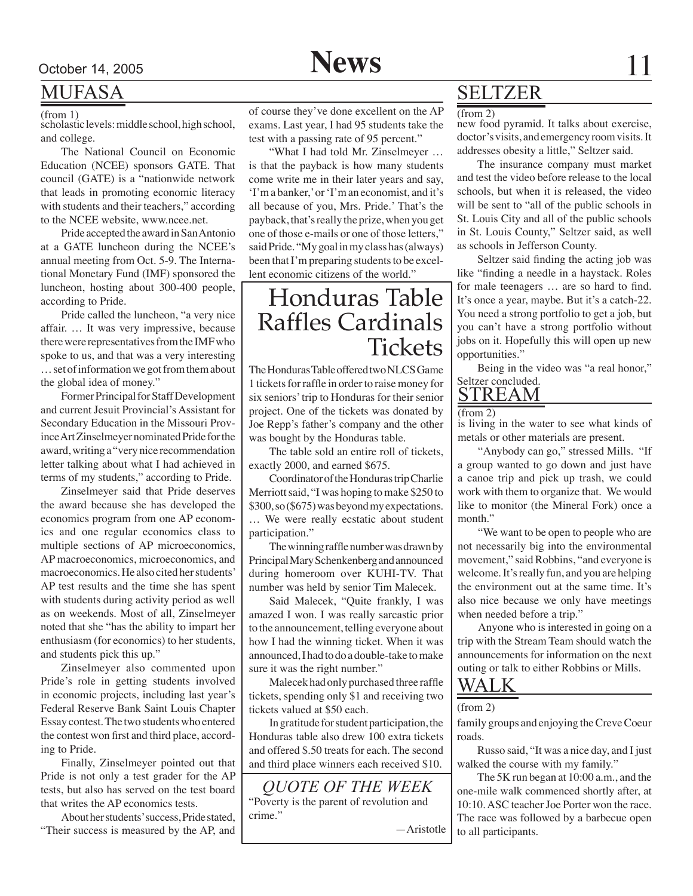

### MUFASA

#### (from 1)

scholastic levels: middle school, high school, and college.

The National Council on Economic Education (NCEE) sponsors GATE. That council (GATE) is a "nationwide network that leads in promoting economic literacy with students and their teachers," according to the NCEE website, www.ncee.net.

Pride accepted the award in San Antonio at a GATE luncheon during the NCEE's annual meeting from Oct. 5-9. The International Monetary Fund (IMF) sponsored the luncheon, hosting about 300-400 people, according to Pride.

Pride called the luncheon, "a very nice affair. … It was very impressive, because there were representatives from the IMF who spoke to us, and that was a very interesting … set of information we got from them about the global idea of money."

Former Principal for Staff Development and current Jesuit Provincial's Assistant for Secondary Education in the Missouri Province Art Zinselmeyer nominated Pride for the award, writing a "very nice recommendation letter talking about what I had achieved in terms of my students," according to Pride.

Zinselmeyer said that Pride deserves the award because she has developed the economics program from one AP economics and one regular economics class to multiple sections of AP microeconomics, AP macroeconomics, microeconomics, and macroeconomics. He also cited her students' AP test results and the time she has spent with students during activity period as well as on weekends. Most of all, Zinselmeyer noted that she "has the ability to impart her enthusiasm (for economics) to her students, and students pick this up."

Zinselmeyer also commented upon Pride's role in getting students involved in economic projects, including last year's Federal Reserve Bank Saint Louis Chapter Essay contest. The two students who entered the contest won first and third place, according to Pride.

Finally, Zinselmeyer pointed out that Pride is not only a test grader for the AP tests, but also has served on the test board that writes the AP economics tests.

About her students' success, Pride stated, "Their success is measured by the AP, and of course they've done excellent on the AP exams. Last year, I had 95 students take the test with a passing rate of 95 percent."

"What I had told Mr. Zinselmeyer … is that the payback is how many students come write me in their later years and say, 'I'm a banker,' or 'I'm an economist, and it's all because of you, Mrs. Pride.' That's the payback, that's really the prize, when you get one of those e-mails or one of those letters," said Pride. "My goal in my class has (always) been that I'm preparing students to be excellent economic citizens of the world."

## Honduras Table Raffles Cardinals **Tickets**

The Honduras Table offered two NLCS Game 1 tickets for raffle in order to raise money for six seniors' trip to Honduras for their senior project. One of the tickets was donated by Joe Repp's father's company and the other was bought by the Honduras table.

The table sold an entire roll of tickets, exactly 2000, and earned \$675.

Coordinator of the Honduras trip Charlie Merriott said, "I was hoping to make \$250 to \$300, so (\$675) was beyond my expectations. … We were really ecstatic about student participation."

The winning raffle number was drawn by Principal Mary Schenkenberg and announced during homeroom over KUHI-TV. That number was held by senior Tim Malecek.

Said Malecek, "Quite frankly, I was amazed I won. I was really sarcastic prior to the announcement, telling everyone about how I had the winning ticket. When it was announced, I had to do a double-take to make sure it was the right number."

Malecek had only purchased three raffle tickets, spending only \$1 and receiving two tickets valued at \$50 each.

In gratitude for student participation, the Honduras table also drew 100 extra tickets and offered \$.50 treats for each. The second and third place winners each received \$10.

*Quote of the Week* "Poverty is the parent of revolution and crime."

—Aristotle

### SELTZER

 $(from 2)$ 

new food pyramid. It talks about exercise, doctor's visits, and emergency room visits. It addresses obesity a little," Seltzer said.

The insurance company must market and test the video before release to the local schools, but when it is released, the video will be sent to "all of the public schools in St. Louis City and all of the public schools in St. Louis County," Seltzer said, as well as schools in Jefferson County.

Seltzer said finding the acting job was like "finding a needle in a haystack. Roles for male teenagers … are so hard to find. It's once a year, maybe. But it's a catch-22. You need a strong portfolio to get a job, but you can't have a strong portfolio without jobs on it. Hopefully this will open up new opportunities."

Being in the video was "a real honor," Seltzer concluded.

### **STREAM**

(from 2)

is living in the water to see what kinds of metals or other materials are present.

"Anybody can go," stressed Mills. "If a group wanted to go down and just have a canoe trip and pick up trash, we could work with them to organize that. We would like to monitor (the Mineral Fork) once a month."

"We want to be open to people who are not necessarily big into the environmental movement," said Robbins, "and everyone is welcome. It's really fun, and you are helping the environment out at the same time. It's also nice because we only have meetings when needed before a trip."

Anyone who is interested in going on a trip with the Stream Team should watch the announcements for information on the next outing or talk to either Robbins or Mills.

### WALK

#### (from 2)

family groups and enjoying the Creve Coeur roads.

Russo said, "It was a nice day, and I just walked the course with my family."

The 5K run began at 10:00 a.m., and the one-mile walk commenced shortly after, at 10:10. ASC teacher Joe Porter won the race. The race was followed by a barbecue open to all participants.